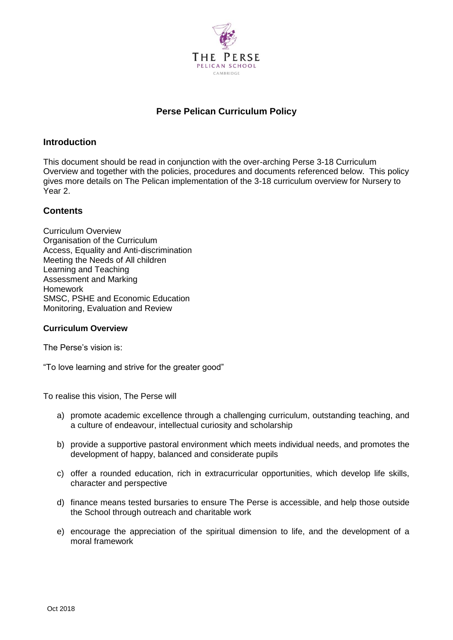

# **Perse Pelican Curriculum Policy**

# **Introduction**

This document should be read in conjunction with the over-arching Perse 3-18 Curriculum Overview and together with the policies, procedures and documents referenced below. This policy gives more details on The Pelican implementation of the 3-18 curriculum overview for Nursery to Year 2.

# **Contents**

Curriculum Overview Organisation of the Curriculum Access, Equality and Anti-discrimination Meeting the Needs of All children Learning and Teaching Assessment and Marking Homework SMSC, PSHE and Economic Education Monitoring, Evaluation and Review

# **Curriculum Overview**

The Perse's vision is:

"To love learning and strive for the greater good"

To realise this vision, The Perse will

- a) promote academic excellence through a challenging curriculum, outstanding teaching, and a culture of endeavour, intellectual curiosity and scholarship
- b) provide a supportive pastoral environment which meets individual needs, and promotes the development of happy, balanced and considerate pupils
- c) offer a rounded education, rich in extracurricular opportunities, which develop life skills, character and perspective
- d) finance means tested bursaries to ensure The Perse is accessible, and help those outside the School through outreach and charitable work
- e) encourage the appreciation of the spiritual dimension to life, and the development of a moral framework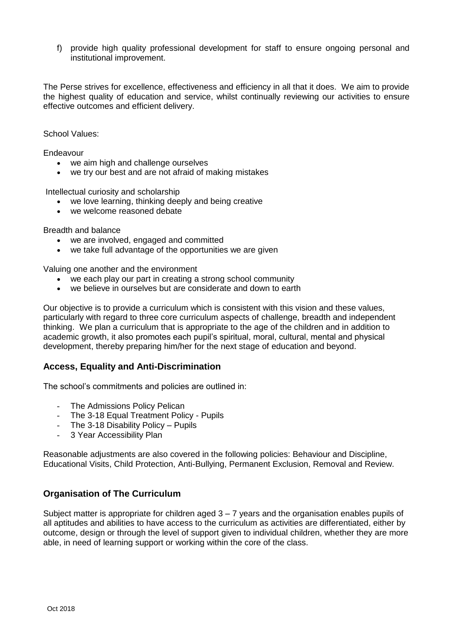f) provide high quality professional development for staff to ensure ongoing personal and institutional improvement.

The Perse strives for excellence, effectiveness and efficiency in all that it does. We aim to provide the highest quality of education and service, whilst continually reviewing our activities to ensure effective outcomes and efficient delivery.

School Values:

Endeavour

- we aim high and challenge ourselves
- we try our best and are not afraid of making mistakes

Intellectual curiosity and scholarship

- we love learning, thinking deeply and being creative
- we welcome reasoned debate

Breadth and balance

- we are involved, engaged and committed
- we take full advantage of the opportunities we are given

Valuing one another and the environment

- we each play our part in creating a strong school community
- we believe in ourselves but are considerate and down to earth

Our objective is to provide a curriculum which is consistent with this vision and these values, particularly with regard to three core curriculum aspects of challenge, breadth and independent thinking. We plan a curriculum that is appropriate to the age of the children and in addition to academic growth, it also promotes each pupil's spiritual, moral, cultural, mental and physical development, thereby preparing him/her for the next stage of education and beyond.

# **Access, Equality and Anti-Discrimination**

The school's commitments and policies are outlined in:

- The Admissions Policy Pelican
- The 3-18 Equal Treatment Policy Pupils
- The 3-18 Disability Policy Pupils
- 3 Year Accessibility Plan

Reasonable adjustments are also covered in the following policies: Behaviour and Discipline, Educational Visits, Child Protection, Anti-Bullying, Permanent Exclusion, Removal and Review.

# **Organisation of The Curriculum**

Subject matter is appropriate for children aged  $3 - 7$  years and the organisation enables pupils of all aptitudes and abilities to have access to the curriculum as activities are differentiated, either by outcome, design or through the level of support given to individual children, whether they are more able, in need of learning support or working within the core of the class.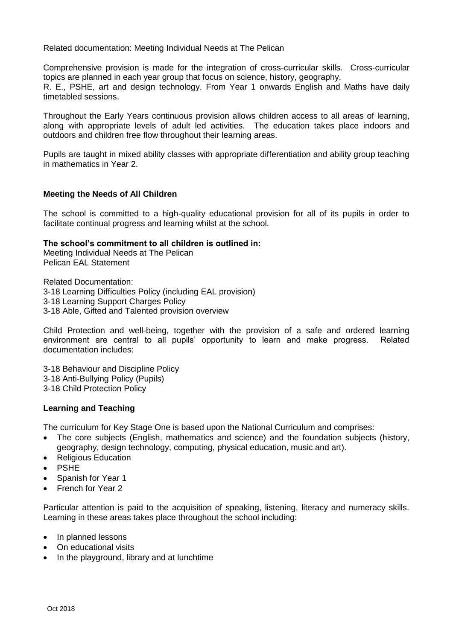Related documentation: Meeting Individual Needs at The Pelican

Comprehensive provision is made for the integration of cross-curricular skills. Cross-curricular topics are planned in each year group that focus on science, history, geography,

R. E., PSHE, art and design technology. From Year 1 onwards English and Maths have daily timetabled sessions.

Throughout the Early Years continuous provision allows children access to all areas of learning, along with appropriate levels of adult led activities. The education takes place indoors and outdoors and children free flow throughout their learning areas.

Pupils are taught in mixed ability classes with appropriate differentiation and ability group teaching in mathematics in Year 2.

#### **Meeting the Needs of All Children**

The school is committed to a high-quality educational provision for all of its pupils in order to facilitate continual progress and learning whilst at the school.

#### **The school's commitment to all children is outlined in:**

Meeting Individual Needs at The Pelican Pelican EAL Statement

Related Documentation: 3-18 Learning Difficulties Policy (including EAL provision) 3-18 Learning Support Charges Policy 3-18 Able, Gifted and Talented provision overview

Child Protection and well-being, together with the provision of a safe and ordered learning environment are central to all pupils' opportunity to learn and make progress. Related documentation includes:

3-18 Behaviour and Discipline Policy 3-18 Anti-Bullying Policy (Pupils)

3-18 Child Protection Policy

# **Learning and Teaching**

The curriculum for Key Stage One is based upon the National Curriculum and comprises:

- The core subjects (English, mathematics and science) and the foundation subjects (history, geography, design technology, computing, physical education, music and art).
- Religious Education
- PSHE
- Spanish for Year 1
- French for Year 2

Particular attention is paid to the acquisition of speaking, listening, literacy and numeracy skills. Learning in these areas takes place throughout the school including:

- In planned lessons
- On educational visits
- In the playground, library and at lunchtime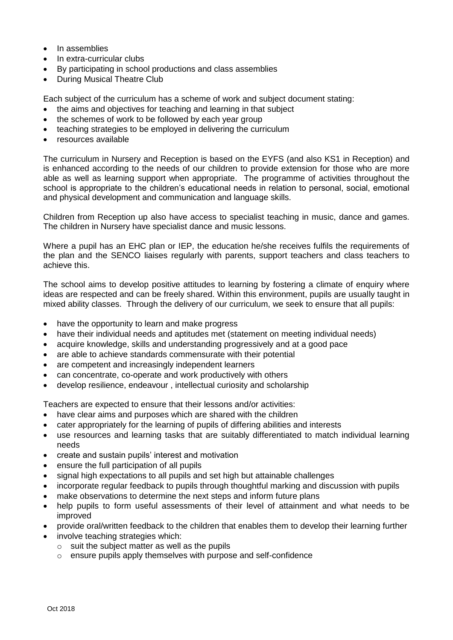- In assemblies
- In extra-curricular clubs
- By participating in school productions and class assemblies
- During Musical Theatre Club

Each subject of the curriculum has a scheme of work and subject document stating:

- the aims and objectives for teaching and learning in that subject
- the schemes of work to be followed by each year group
- teaching strategies to be employed in delivering the curriculum
- resources available

The curriculum in Nursery and Reception is based on the EYFS (and also KS1 in Reception) and is enhanced according to the needs of our children to provide extension for those who are more able as well as learning support when appropriate. The programme of activities throughout the school is appropriate to the children's educational needs in relation to personal, social, emotional and physical development and communication and language skills.

Children from Reception up also have access to specialist teaching in music, dance and games. The children in Nursery have specialist dance and music lessons.

Where a pupil has an EHC plan or IEP, the education he/she receives fulfils the requirements of the plan and the SENCO liaises regularly with parents, support teachers and class teachers to achieve this.

The school aims to develop positive attitudes to learning by fostering a climate of enquiry where ideas are respected and can be freely shared. Within this environment, pupils are usually taught in mixed ability classes. Through the delivery of our curriculum, we seek to ensure that all pupils:

- have the opportunity to learn and make progress
- have their individual needs and aptitudes met (statement on meeting individual needs)
- acquire knowledge, skills and understanding progressively and at a good pace
- are able to achieve standards commensurate with their potential
- are competent and increasingly independent learners
- can concentrate, co-operate and work productively with others
- develop resilience, endeavour , intellectual curiosity and scholarship

Teachers are expected to ensure that their lessons and/or activities:

- have clear aims and purposes which are shared with the children
- cater appropriately for the learning of pupils of differing abilities and interests
- use resources and learning tasks that are suitably differentiated to match individual learning needs
- create and sustain pupils' interest and motivation
- ensure the full participation of all pupils
- signal high expectations to all pupils and set high but attainable challenges
- incorporate regular feedback to pupils through thoughtful marking and discussion with pupils
- make observations to determine the next steps and inform future plans
- help pupils to form useful assessments of their level of attainment and what needs to be improved
- provide oral/written feedback to the children that enables them to develop their learning further
- involve teaching strategies which:
	- $\circ$  suit the subject matter as well as the pupils
	- o ensure pupils apply themselves with purpose and self-confidence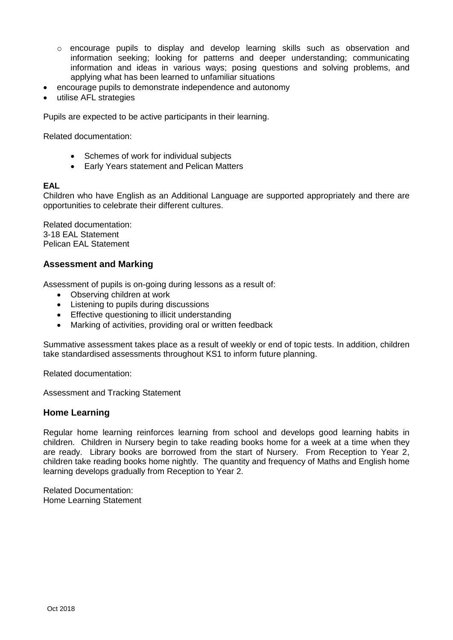- $\circ$  encourage pupils to display and develop learning skills such as observation and information seeking; looking for patterns and deeper understanding; communicating information and ideas in various ways; posing questions and solving problems, and applying what has been learned to unfamiliar situations
- encourage pupils to demonstrate independence and autonomy
- utilise AFL strategies

Pupils are expected to be active participants in their learning.

Related documentation:

- Schemes of work for individual subjects
- Early Years statement and Pelican Matters

#### **EAL**

Children who have English as an Additional Language are supported appropriately and there are opportunities to celebrate their different cultures.

Related documentation: 3-18 EAL Statement Pelican EAL Statement

# **Assessment and Marking**

Assessment of pupils is on-going during lessons as a result of:

- Observing children at work
- Listening to pupils during discussions
- **•** Effective questioning to illicit understanding
- Marking of activities, providing oral or written feedback

Summative assessment takes place as a result of weekly or end of topic tests. In addition, children take standardised assessments throughout KS1 to inform future planning.

Related documentation:

Assessment and Tracking Statement

# **Home Learning**

Regular home learning reinforces learning from school and develops good learning habits in children. Children in Nursery begin to take reading books home for a week at a time when they are ready. Library books are borrowed from the start of Nursery. From Reception to Year 2, children take reading books home nightly. The quantity and frequency of Maths and English home learning develops gradually from Reception to Year 2.

Related Documentation: Home Learning Statement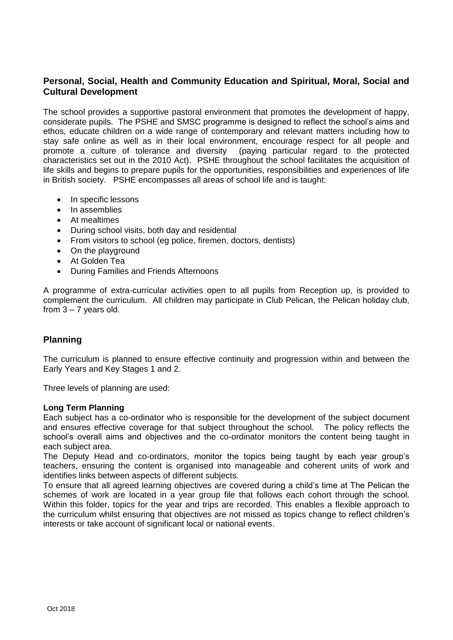# **Personal, Social, Health and Community Education and Spiritual, Moral, Social and Cultural Development**

The school provides a supportive pastoral environment that promotes the development of happy, considerate pupils. The PSHE and SMSC programme is designed to reflect the school's aims and ethos, educate children on a wide range of contemporary and relevant matters including how to stay safe online as well as in their local environment, encourage respect for all people and promote a culture of tolerance and diversity (paying particular regard to the protected characteristics set out in the 2010 Act). PSHE throughout the school facilitates the acquisition of life skills and begins to prepare pupils for the opportunities, responsibilities and experiences of life in British society. PSHE encompasses all areas of school life and is taught:

- In specific lessons
- In assemblies
- At mealtimes
- During school visits, both day and residential
- From visitors to school (eg police, firemen, doctors, dentists)
- On the playground
- At Golden Tea
- During Families and Friends Afternoons

A programme of extra-curricular activities open to all pupils from Reception up, is provided to complement the curriculum. All children may participate in Club Pelican, the Pelican holiday club, from  $3 - 7$  years old.

# **Planning**

The curriculum is planned to ensure effective continuity and progression within and between the Early Years and Key Stages 1 and 2.

Three levels of planning are used:

#### **Long Term Planning**

Each subject has a co-ordinator who is responsible for the development of the subject document and ensures effective coverage for that subject throughout the school. The policy reflects the school's overall aims and objectives and the co-ordinator monitors the content being taught in each subject area.

The Deputy Head and co-ordinators, monitor the topics being taught by each year group's teachers, ensuring the content is organised into manageable and coherent units of work and identifies links between aspects of different subjects.

To ensure that all agreed learning objectives are covered during a child's time at The Pelican the schemes of work are located in a year group file that follows each cohort through the school. Within this folder, topics for the year and trips are recorded. This enables a flexible approach to the curriculum whilst ensuring that objectives are not missed as topics change to reflect children's interests or take account of significant local or national events.